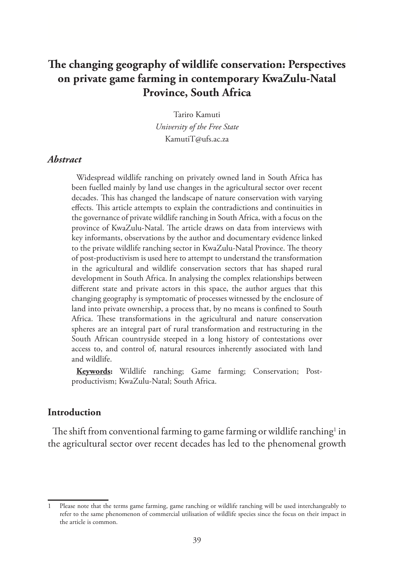# **The changing geography of wildlife conservation: Perspectives on private game farming in contemporary KwaZulu-Natal Province, South Africa**

Tariro Kamuti *University of the Free State* KamutiT@ufs.ac.za

#### *Abstract*

Widespread wildlife ranching on privately owned land in South Africa has been fuelled mainly by land use changes in the agricultural sector over recent decades. This has changed the landscape of nature conservation with varying effects. This article attempts to explain the contradictions and continuities in the governance of private wildlife ranching in South Africa, with a focus on the province of KwaZulu-Natal. The article draws on data from interviews with key informants, observations by the author and documentary evidence linked to the private wildlife ranching sector in KwaZulu-Natal Province. The theory of post-productivism is used here to attempt to understand the transformation in the agricultural and wildlife conservation sectors that has shaped rural development in South Africa. In analysing the complex relationships between different state and private actors in this space, the author argues that this changing geography is symptomatic of processes witnessed by the enclosure of land into private ownership, a process that, by no means is confined to South Africa. These transformations in the agricultural and nature conservation spheres are an integral part of rural transformation and restructuring in the South African countryside steeped in a long history of contestations over access to, and control of, natural resources inherently associated with land and wildlife.

**Keywords:** Wildlife ranching; Game farming; Conservation; Postproductivism; KwaZulu-Natal; South Africa.

#### **Introduction**

The shift from conventional farming to game farming or wildlife ranching $^{\rm l}$  in the agricultural sector over recent decades has led to the phenomenal growth

<sup>1</sup> Please note that the terms game farming, game ranching or wildlife ranching will be used interchangeably to refer to the same phenomenon of commercial utilisation of wildlife species since the focus on their impact in the article is common.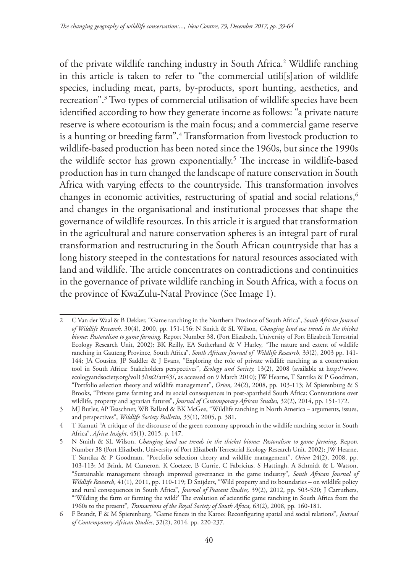of the private wildlife ranching industry in South Africa.2 Wildlife ranching in this article is taken to refer to "the commercial utili[s]ation of wildlife species, including meat, parts, by-products, sport hunting, aesthetics, and recreation".3 Two types of commercial utilisation of wildlife species have been identified according to how they generate income as follows: "a private nature reserve is where ecotourism is the main focus; and a commercial game reserve is a hunting or breeding farm".4 Transformation from livestock production to wildlife-based production has been noted since the 1960s, but since the 1990s the wildlife sector has grown exponentially.<sup>5</sup> The increase in wildlife-based production has in turn changed the landscape of nature conservation in South Africa with varying effects to the countryside. This transformation involves changes in economic activities, restructuring of spatial and social relations,<sup>6</sup> and changes in the organisational and institutional processes that shape the governance of wildlife resources. In this article it is argued that transformation in the agricultural and nature conservation spheres is an integral part of rural transformation and restructuring in the South African countryside that has a long history steeped in the contestations for natural resources associated with land and wildlife. The article concentrates on contradictions and continuities in the governance of private wildlife ranching in South Africa, with a focus on the province of KwaZulu-Natal Province (See Image 1).

<sup>2</sup> C Van der Waal & B Dekker, "Game ranching in the Northern Province of South Africa", *South African Journal of Wildlife Research,* 30(4), 2000, pp. 151-156; N Smith & SL Wilson, *Changing land use trends in the thicket biome: Pastoralism to game farming.* Report Number 38, (Port Elizabeth, University of Port Elizabeth Terrestrial Ecology Research Unit, 2002); BK Reilly, EA Sutherland & V Harley, "The nature and extent of wildlife ranching in Gauteng Province, South Africa", *South African Journal of Wildlife Research,* 33(2), 2003 pp. 141- 144; JA Cousins, JP Saddler & J Evans, "Exploring the role of private wildlife ranching as a conservation tool in South Africa: Stakeholders perspectives", *Ecology and Society,* 13(2), 2008 (available at http://www. ecologyandsociety.org/vol13/iss2/art43/, as accessed on 9 March 2010); JW Hearne, T Santika & P Goodman, "Portfolio selection theory and wildlife management", *Orion,* 24(2), 2008, pp. 103-113; M Spierenburg & S Brooks, "Private game farming and its social consequences in post-apartheid South Africa: Contestations over wildlife, property and agrarian futures", *Journal of Contemporary African Studies,* 32(2), 2014, pp. 151-172.

<sup>3</sup> MJ Butler, AP Teaschner, WB Ballard & BK McGee, "Wildlife ranching in North America – arguments, issues, and perspectives", *Wildlife Society Bulletin,* 33(1), 2005, p. 381.

<sup>4</sup> T Kamuti "A critique of the discourse of the green economy approach in the wildlife ranching sector in South Africa", *Africa Insight*, 45(1), 2015, p. 147.

<sup>5</sup> N Smith & SL Wilson, *Changing land use trends in the thicket biome: Pastoralism to game farming,* Report Number 38 (Port Elizabeth, University of Port Elizabeth Terrestrial Ecology Research Unit, 2002); JW Hearne, T Santika & P Goodman, "Portfolio selection theory and wildlife management", *Orion* 24(2), 2008, pp. 103-113; M Brink, M Cameron, K Coetzee, B Currie, C Fabricius, S Hattingh, A Schmidt & L Watson, "Sustainable management through improved governance in the game industry", *South African Journal of Wildlife Research,* 41(1), 2011, pp. 110-119; D Snijders, "Wild property and its boundaries – on wildlife policy and rural consequences in South Africa", *Journal of Peasant Studies,* 39(2), 2012, pp. 503-520; J Carruthers, "'Wilding the farm or farming the wild?' The evolution of scientific game ranching in South Africa from the 1960s to the present", *Transactions of the Royal Society of South Africa,* 63(2), 2008, pp. 160-181.

<sup>6</sup> F Brandt, F & M Spierenburg, "Game fences in the Karoo: Reconfiguring spatial and social relations", *Journal of Contemporary African Studies,* 32(2), 2014, pp. 220-237.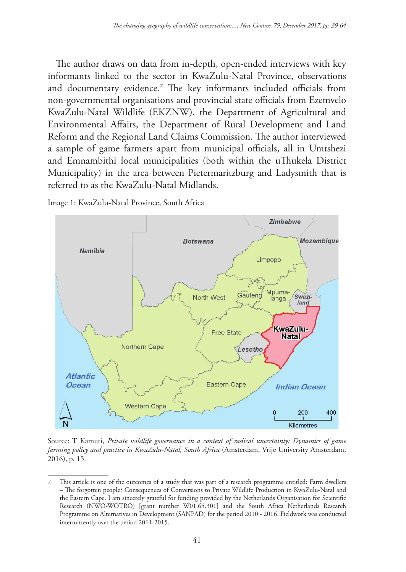The author draws on data from in-depth, open-ended interviews with key informants linked to the sector in KwaZulu-Natal Province, observations and documentary evidence.7 The key informants included officials from non-governmental organisations and provincial state officials from Ezemvelo KwaZulu-Natal Wildlife (EKZNW), the Department of Agricultural and Environmental Affairs, the Department of Rural Development and Land Reform and the Regional Land Claims Commission. The author interviewed a sample of game farmers apart from municipal officials, all in Umtshezi and Emnambithi local municipalities (both within the uThukela District Municipality) in the area between Pietermaritzburg and Ladysmith that is referred to as the KwaZulu-Natal Midlands.

Image 1: KwaZulu-Natal Province, South Africa



Source: T Kamuti, *Private wildlife governance in a context of radical uncertainty: Dynamics of game farming policy and practice in KwaZulu-Natal, South Africa* (Amsterdam, Vrije University Amsterdam, 2016), p. 15.

<sup>7</sup> This article is one of the outcomes of a study that was part of a research programme entitled: Farm dwellers – The forgotten people? Consequences of Conversions to Private Wildlife Production in KwaZulu-Natal and the Eastern Cape. I am sincerely grateful for funding provided by the Netherlands Organisation for Scientific Research (NWO-WOTRO) [grant number W01.65.301] and the South Africa Netherlands Research Programme on Alternatives in Development (SANPAD) for the period 2010 - 2016. Fieldwork was conducted intermittently over the period 2011-2015.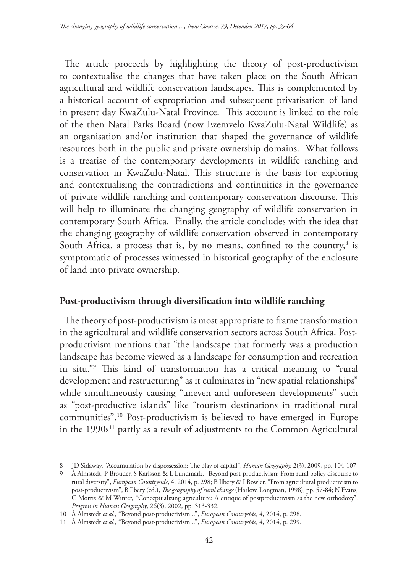The article proceeds by highlighting the theory of post-productivism to contextualise the changes that have taken place on the South African agricultural and wildlife conservation landscapes. This is complemented by a historical account of expropriation and subsequent privatisation of land in present day KwaZulu-Natal Province. This account is linked to the role of the then Natal Parks Board (now Ezemvelo KwaZulu-Natal Wildlife) as an organisation and/or institution that shaped the governance of wildlife resources both in the public and private ownership domains. What follows is a treatise of the contemporary developments in wildlife ranching and conservation in KwaZulu-Natal. This structure is the basis for exploring and contextualising the contradictions and continuities in the governance of private wildlife ranching and contemporary conservation discourse. This will help to illuminate the changing geography of wildlife conservation in contemporary South Africa. Finally, the article concludes with the idea that the changing geography of wildlife conservation observed in contemporary South Africa, a process that is, by no means, confined to the country,<sup>8</sup> is symptomatic of processes witnessed in historical geography of the enclosure of land into private ownership.

# **Post-productivism through diversification into wildlife ranching**

The theory of post-productivism is most appropriate to frame transformation in the agricultural and wildlife conservation sectors across South Africa. Postproductivism mentions that "the landscape that formerly was a production landscape has become viewed as a landscape for consumption and recreation in situ."9 This kind of transformation has a critical meaning to "rural development and restructuring" as it culminates in "new spatial relationships" while simultaneously causing "uneven and unforeseen developments" such as "post-productive islands" like "tourism destinations in traditional rural communities".10 Post-productivism is believed to have emerged in Europe in the 1990s<sup>11</sup> partly as a result of adjustments to the Common Agricultural

<sup>8</sup> JD Sidaway, "Accumulation by dispossession: The play of capital", *Human Geography,* 2(3), 2009, pp. 104-107.

<sup>9</sup> Å Almstedt, P Brouder, S Karlsson & L Lundmark, "Beyond post-productivism: From rural policy discourse to rural diversity", *European Countryside*, 4, 2014, p. 298; B Ilbery & I Bowler, "From agricultural productivism to post-productivism", B Ilbery (ed.), *The geography of rural change* (Harlow, Longman, 1998), pp. 57-84; N Evans, C Morris & M Winter, "Conceptualizing agriculture: A critique of postproductivism as the new orthodoxy", *Progress in Human Geography*, 26(3), 2002, pp. 313-332.

<sup>10</sup> Å Almstedt *et al.*, "Beyond post-productivism...", *European Countryside*, 4, 2014, p. 298.

<sup>11</sup> Å Almstedt *et al.*, "Beyond post-productivism...", *European Countryside*, 4, 2014, p. 299.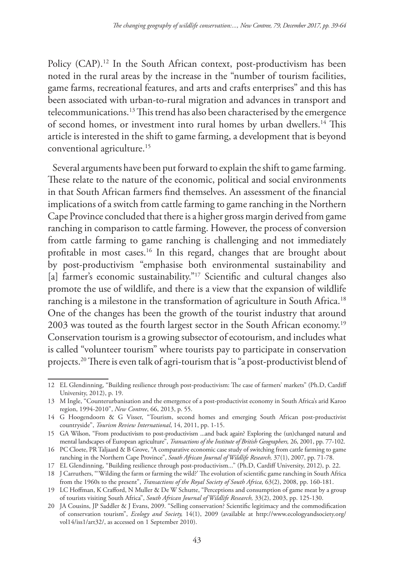Policy (CAP).<sup>12</sup> In the South African context, post-productivism has been noted in the rural areas by the increase in the "number of tourism facilities, game farms, recreational features, and arts and crafts enterprises" and this has been associated with urban-to-rural migration and advances in transport and telecommunications.13 This trend has also been characterised by the emergence of second homes, or investment into rural homes by urban dwellers.14 This article is interested in the shift to game farming, a development that is beyond conventional agriculture.15

Several arguments have been put forward to explain the shift to game farming. These relate to the nature of the economic, political and social environments in that South African farmers find themselves. An assessment of the financial implications of a switch from cattle farming to game ranching in the Northern Cape Province concluded that there is a higher gross margin derived from game ranching in comparison to cattle farming. However, the process of conversion from cattle farming to game ranching is challenging and not immediately profitable in most cases.16 In this regard, changes that are brought about by post-productivism "emphasise both environmental sustainability and [a] farmer's economic sustainability."<sup>17</sup> Scientific and cultural changes also promote the use of wildlife, and there is a view that the expansion of wildlife ranching is a milestone in the transformation of agriculture in South Africa.<sup>18</sup> One of the changes has been the growth of the tourist industry that around 2003 was touted as the fourth largest sector in the South African economy.<sup>19</sup> Conservation tourism is a growing subsector of ecotourism, and includes what is called "volunteer tourism" where tourists pay to participate in conservation projects.20 There is even talk of agri-tourism that is "a post-productivist blend of

<sup>12</sup> EL Glendinning, "Building resilience through post-productivism: The case of farmers' markets" (Ph.D, Cardiff University, 2012), p. 19.

<sup>13</sup> M Ingle, "Counterurbanisation and the emergence of a post-productivist economy in South Africa's arid Karoo region, 1994-2010", *New Contree*, 66, 2013, p. 55.

<sup>14</sup> G Hoogendoorn & G Visser, "Tourism, second homes and emerging South African post-productivist countryside", *Tourism Review International*, 14, 2011, pp. 1-15.

<sup>15</sup> GA Wilson, "From productivism to post-productivism ...and back again? Exploring the (un)changed natural and mental landscapes of European agriculture", *Transactions of the Institute of British Geographers,* 26, 2001, pp. 77-102.

<sup>16</sup> PC Cloete, PR Taljaard & B Grove, "A comparative economic case study of switching from cattle farming to game ranching in the Northern Cape Province", *South African Journal of Wildlife Research,* 37(1), 2007, pp. 71-78.

<sup>17</sup> EL Glendinning, "Building resilience through post-productivism..." (Ph.D, Cardiff University, 2012), p. 22.

<sup>18</sup> J Carruthers, "'Wilding the farm or farming the wild?' The evolution of scientific game ranching in South Africa from the 1960s to the present", *Transactions of the Royal Society of South Africa,* 63(2), 2008, pp. 160-181.

<sup>19</sup> LC Hoffman, K Crafford, N Muller & De W Schutte, "Perceptions and consumption of game meat by a group of tourists visiting South Africa", *South African Journal of Wildlife Research,* 33(2), 2003, pp. 125-130.

<sup>20</sup> JA Cousins, JP Saddler & J Evans, 2009. "Selling conservation? Scientific legitimacy and the commodification of conservation tourism", *Ecology and Society,* 14(1), 2009 (available at http://www.ecologyandsociety.org/ vol14/iss1/art32/, as accessed on 1 September 2010).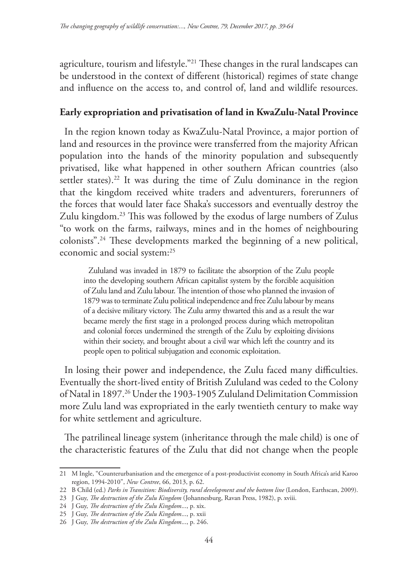agriculture, tourism and lifestyle."21 These changes in the rural landscapes can be understood in the context of different (historical) regimes of state change and influence on the access to, and control of, land and wildlife resources.

## **Early expropriation and privatisation of land in KwaZulu-Natal Province**

In the region known today as KwaZulu-Natal Province, a major portion of land and resources in the province were transferred from the majority African population into the hands of the minority population and subsequently privatised, like what happened in other southern African countries (also settler states).<sup>22</sup> It was during the time of Zulu dominance in the region that the kingdom received white traders and adventurers, forerunners of the forces that would later face Shaka's successors and eventually destroy the Zulu kingdom.23 This was followed by the exodus of large numbers of Zulus "to work on the farms, railways, mines and in the homes of neighbouring colonists".24 These developments marked the beginning of a new political, economic and social system:25

Zululand was invaded in 1879 to facilitate the absorption of the Zulu people into the developing southern African capitalist system by the forcible acquisition of Zulu land and Zulu labour. The intention of those who planned the invasion of 1879 was to terminate Zulu political independence and free Zulu labour by means of a decisive military victory. The Zulu army thwarted this and as a result the war became merely the first stage in a prolonged process during which metropolitan and colonial forces undermined the strength of the Zulu by exploiting divisions within their society, and brought about a civil war which left the country and its people open to political subjugation and economic exploitation.

In losing their power and independence, the Zulu faced many difficulties. Eventually the short-lived entity of British Zululand was ceded to the Colony of Natal in 1897.26 Under the 1903-1905 Zululand Delimitation Commission more Zulu land was expropriated in the early twentieth century to make way for white settlement and agriculture.

The patrilineal lineage system (inheritance through the male child) is one of the characteristic features of the Zulu that did not change when the people

<sup>21</sup> M Ingle, "Counterurbanisation and the emergence of a post-productivist economy in South Africa's arid Karoo region, 1994-2010", *New Contree*, 66, 2013, p. 62.

<sup>22</sup> B Child (ed.) *Parks in Transition: Biodiversity, rural development and the bottom line* (London, Earthscan, 2009).

<sup>23</sup> J Guy, *The destruction of the Zulu Kingdom* (Johannesburg, Ravan Press, 1982), p. xviii.

<sup>24</sup> J Guy, *The destruction of the Zulu Kingdom*..., p. xix.

<sup>25</sup> J Guy, *The destruction of the Zulu Kingdom*..., p. xxii

<sup>26</sup> J Guy, *The destruction of the Zulu Kingdom*..., p. 246.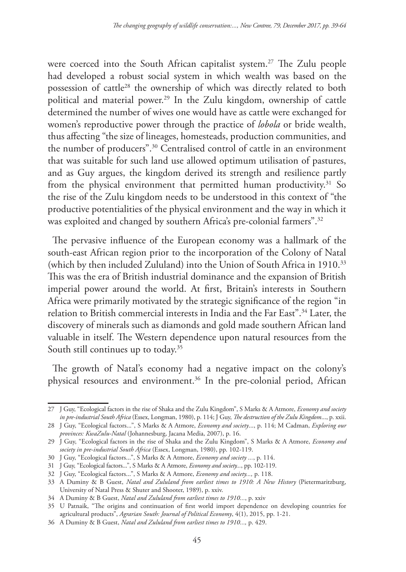were coerced into the South African capitalist system.<sup>27</sup> The Zulu people had developed a robust social system in which wealth was based on the possession of cattle28 the ownership of which was directly related to both political and material power.<sup>29</sup> In the Zulu kingdom, ownership of cattle determined the number of wives one would have as cattle were exchanged for women's reproductive power through the practice of *lobola* or bride wealth, thus affecting "the size of lineages, homesteads, production communities, and the number of producers".30 Centralised control of cattle in an environment that was suitable for such land use allowed optimum utilisation of pastures, and as Guy argues, the kingdom derived its strength and resilience partly from the physical environment that permitted human productivity.<sup>31</sup> So the rise of the Zulu kingdom needs to be understood in this context of "the productive potentialities of the physical environment and the way in which it was exploited and changed by southern Africa's pre-colonial farmers".<sup>32</sup>

The pervasive influence of the European economy was a hallmark of the south-east African region prior to the incorporation of the Colony of Natal (which by then included Zululand) into the Union of South Africa in 1910.<sup>33</sup> This was the era of British industrial dominance and the expansion of British imperial power around the world. At first, Britain's interests in Southern Africa were primarily motivated by the strategic significance of the region "in relation to British commercial interests in India and the Far East".34 Later, the discovery of minerals such as diamonds and gold made southern African land valuable in itself. The Western dependence upon natural resources from the South still continues up to today.<sup>35</sup>

The growth of Natal's economy had a negative impact on the colony's physical resources and environment.<sup>36</sup> In the pre-colonial period, African

<sup>27</sup> J Guy, "Ecological factors in the rise of Shaka and the Zulu Kingdom", S Marks & A Atmore, *Economy and society in pre-industrial South Africa* (Essex, Longman, 1980), p. 114; J Guy, *The destruction of the Zulu Kingdom*..., p. xxii.

<sup>28</sup> J Guy, "Ecological factors...", S Marks & A Atmore, *Economy and society*..., p. 114; M Cadman, *Exploring our provinces: KwaZulu-Natal* (Johannesburg, Jacana Media, 2007), p. 16.

<sup>29</sup> J Guy, "Ecological factors in the rise of Shaka and the Zulu Kingdom", S Marks & A Atmore, *Economy and society in pre-industrial South Africa* (Essex, Longman, 1980), pp. 102-119.

<sup>30</sup> J Guy, "Ecological factors...", S Marks & A Atmore, *Economy and society ...*, p. 114.

<sup>31</sup> J Guy, "Ecological factors...", S Marks & A Atmore, *Economy and society...*, pp. 102-119.

<sup>32</sup> J Guy, "Ecological factors...", S Marks & A Atmore, *Economy and society...,* p. 118.

<sup>33</sup> A Duminy & B Guest, *Natal and Zululand from earliest times to 1910: A New History* (Pietermaritzburg, University of Natal Press & Shuter and Shooter, 1989), p. xxiv.

<sup>34</sup> A Duminy & B Guest, *Natal and Zululand from earliest times to 1910...*, p. xxiv

<sup>35</sup> U Patnaik, "The origins and continuation of first world import dependence on developing countries for agricultural products", *Agrarian South: Journal of Political Economy*, 4(1), 2015, pp. 1-21.

<sup>36</sup> A Duminy & B Guest, *Natal and Zululand from earliest times to 1910...,* p. 429.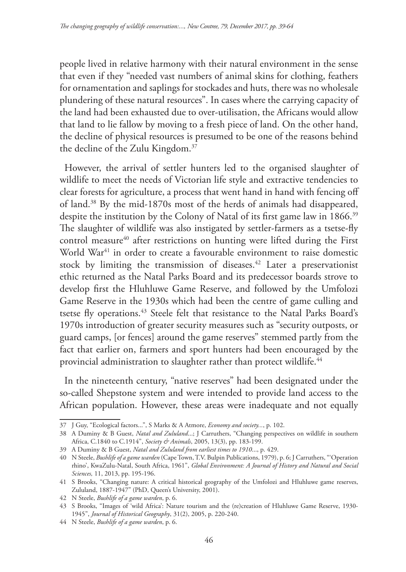people lived in relative harmony with their natural environment in the sense that even if they "needed vast numbers of animal skins for clothing, feathers for ornamentation and saplings for stockades and huts, there was no wholesale plundering of these natural resources". In cases where the carrying capacity of the land had been exhausted due to over-utilisation, the Africans would allow that land to lie fallow by moving to a fresh piece of land. On the other hand, the decline of physical resources is presumed to be one of the reasons behind the decline of the Zulu Kingdom.37

However, the arrival of settler hunters led to the organised slaughter of wildlife to meet the needs of Victorian life style and extractive tendencies to clear forests for agriculture, a process that went hand in hand with fencing off of land.38 By the mid-1870s most of the herds of animals had disappeared, despite the institution by the Colony of Natal of its first game law in 1866.<sup>39</sup> The slaughter of wildlife was also instigated by settler-farmers as a tsetse-fly control measure<sup>40</sup> after restrictions on hunting were lifted during the First World War<sup>41</sup> in order to create a favourable environment to raise domestic stock by limiting the transmission of diseases.<sup>42</sup> Later a preservationist ethic returned as the Natal Parks Board and its predecessor boards strove to develop first the Hluhluwe Game Reserve, and followed by the Umfolozi Game Reserve in the 1930s which had been the centre of game culling and tsetse fly operations.<sup>43</sup> Steele felt that resistance to the Natal Parks Board's 1970s introduction of greater security measures such as "security outposts, or guard camps, [or fences] around the game reserves" stemmed partly from the fact that earlier on, farmers and sport hunters had been encouraged by the provincial administration to slaughter rather than protect wildlife.<sup>44</sup>

In the nineteenth century, "native reserves" had been designated under the so-called Shepstone system and were intended to provide land access to the African population. However, these areas were inadequate and not equally

<sup>37</sup> J Guy, "Ecological factors...", S Marks & A Atmore, *Economy and society...*, p. 102.

<sup>38</sup> A Duminy & B Guest, *Natal and Zululand*...; J Carruthers, "Changing perspectives on wildlife in southern Africa, C.1840 to C.1914", *Society & Animals*, 2005, 13(3), pp. 183-199.

<sup>39</sup> A Duminy & B Guest, *Natal and Zululand from earliest times to 1910*..., p. 429.

<sup>40</sup> N Steele, *Bushlife of a game warden* (Cape Town, T.V. Bulpin Publications, 1979), p. 6; J Carruthers, "'Operation rhino', KwaZulu-Natal, South Africa, 1961", *Global Environment: A Journal of History and Natural and Social Sciences,* 11, 2013, pp. 195-196.

<sup>41</sup> S Brooks, "Changing nature: A critical historical geography of the Umfolozi and Hluhluwe game reserves, Zululand, 1887-1947" (PhD, Queen's University, 2001).

<sup>42</sup> N Steele, *Bushlife of a game warden*, p. 6.

<sup>43</sup> S Brooks, "Images of 'wild Africa': Nature tourism and the (re)creation of Hluhluwe Game Reserve, 1930- 1945", *Journal of Historical Geography*, 31(2), 2005, p. 220-240.

<sup>44</sup> N Steele, *Bushlife of a game warden*, p. 6.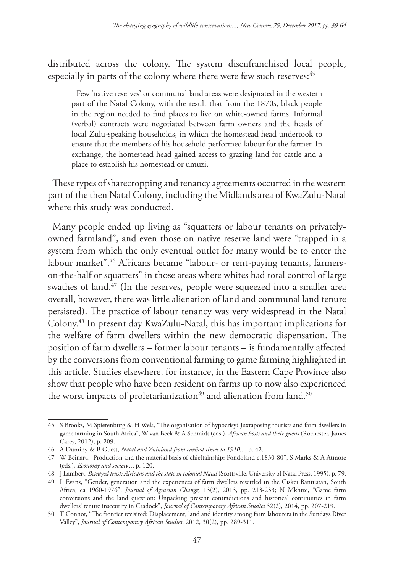distributed across the colony. The system disenfranchised local people, especially in parts of the colony where there were few such reserves:<sup>45</sup>

Few 'native reserves' or communal land areas were designated in the western part of the Natal Colony, with the result that from the 1870s, black people in the region needed to find places to live on white-owned farms. Informal (verbal) contracts were negotiated between farm owners and the heads of local Zulu-speaking households, in which the homestead head undertook to ensure that the members of his household performed labour for the farmer. In exchange, the homestead head gained access to grazing land for cattle and a place to establish his homestead or umuzi.

These types of sharecropping and tenancy agreements occurred in the western part of the then Natal Colony, including the Midlands area of KwaZulu-Natal where this study was conducted.

Many people ended up living as "squatters or labour tenants on privatelyowned farmland", and even those on native reserve land were "trapped in a system from which the only eventual outlet for many would be to enter the labour market".<sup>46</sup> Africans became "labour- or rent-paying tenants, farmerson-the-half or squatters" in those areas where whites had total control of large swathes of land. $47$  (In the reserves, people were squeezed into a smaller area overall, however, there was little alienation of land and communal land tenure persisted). The practice of labour tenancy was very widespread in the Natal Colony.48 In present day KwaZulu-Natal, this has important implications for the welfare of farm dwellers within the new democratic dispensation. The position of farm dwellers – former labour tenants – is fundamentally affected by the conversions from conventional farming to game farming highlighted in this article. Studies elsewhere, for instance, in the Eastern Cape Province also show that people who have been resident on farms up to now also experienced the worst impacts of proletarianization<sup>49</sup> and alienation from land.<sup>50</sup>

<sup>45</sup> S Brooks, M Spierenburg & H Wels, "The organisation of hypocrisy? Juxtaposing tourists and farm dwellers in game farming in South Africa", W van Beek & A Schmidt (eds.), *African hosts and their guests* (Rochester, James Carey, 2012), p. 209.

<sup>46</sup> A Duminy & B Guest, *Natal and Zululand from earliest times to 1910...*, p. 42.

<sup>47</sup> W Beinart, "Production and the material basis of chieftainship: Pondoland c.1830-80", S Marks & A Atmore (eds.), *Economy and society...*, p. 120.

<sup>48</sup> J Lambert, *Betrayed trust: Africans and the state in colonial Natal* (Scottsville, University of Natal Press, 1995), p. 79.

<sup>49</sup> L Evans, "Gender, generation and the experiences of farm dwellers resettled in the Ciskei Bantustan, South Africa, ca 1960-1976", *Journal of Agrarian Change,* 13(2), 2013, pp. 213-233; N Mkhize, "Game farm conversions and the land question: Unpacking present contradictions and historical continuities in farm dwellers' tenure insecurity in Cradock", *Journal of Contemporary African Studies* 32(2), 2014, pp. 207-219.

<sup>50</sup> T Connor, "The frontier revisited: Displacement, land and identity among farm labourers in the Sundays River Valley", *Journal of Contemporary African Studies*, 2012, 30(2), pp. 289-311.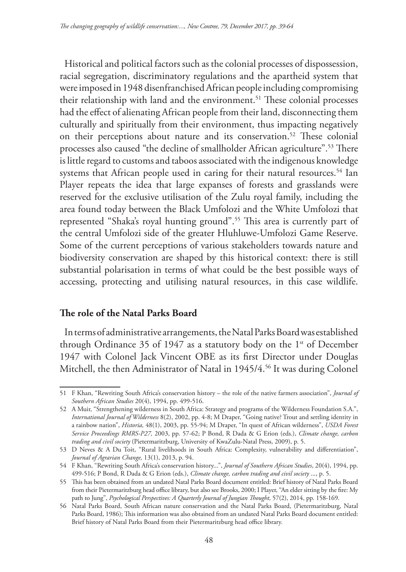Historical and political factors such as the colonial processes of dispossession, racial segregation, discriminatory regulations and the apartheid system that were imposed in 1948 disenfranchised African people including compromising their relationship with land and the environment.<sup>51</sup> These colonial processes had the effect of alienating African people from their land, disconnecting them culturally and spiritually from their environment, thus impacting negatively on their perceptions about nature and its conservation.<sup>52</sup> These colonial processes also caused "the decline of smallholder African agriculture".53 There is little regard to customs and taboos associated with the indigenous knowledge systems that African people used in caring for their natural resources.<sup>54</sup> Ian Player repeats the idea that large expanses of forests and grasslands were reserved for the exclusive utilisation of the Zulu royal family, including the area found today between the Black Umfolozi and the White Umfolozi that represented "Shaka's royal hunting ground".55 This area is currently part of the central Umfolozi side of the greater Hluhluwe-Umfolozi Game Reserve. Some of the current perceptions of various stakeholders towards nature and biodiversity conservation are shaped by this historical context: there is still substantial polarisation in terms of what could be the best possible ways of accessing, protecting and utilising natural resources, in this case wildlife.

# **The role of the Natal Parks Board**

In terms of administrative arrangements, the Natal Parks Board was established through Ordinance 35 of 1947 as a statutory body on the  $1<sup>st</sup>$  of December 1947 with Colonel Jack Vincent OBE as its first Director under Douglas Mitchell, the then Administrator of Natal in 1945/4.<sup>56</sup> It was during Colonel

<sup>51</sup> F Khan, "Rewriting South Africa's conservation history – the role of the native farmers association", *Journal of Southern African Studies* 20(4), 1994, pp. 499-516.

<sup>52</sup> A Muir, "Strengthening wilderness in South Africa: Strategy and programs of the Wilderness Foundation S.A.", *International Journal of Wilderness* 8(2), 2002, pp. 4-8; M Draper, "Going native? Trout and settling identity in a rainbow nation", *Historia,* 48(1), 2003, pp. 55-94; M Draper, "In quest of African wilderness", *USDA Forest Service Proceedings RMRS-P27,* 2003, pp. 57-62; P Bond, R Dada & G Erion (eds.), *Climate change, carbon trading and civil society* (Pietermaritzburg, University of KwaZulu-Natal Press, 2009), p. 5.

<sup>53</sup> D Neves & A Du Toit, "Rural livelihoods in South Africa: Complexity, vulnerability and differentiation", *Journal of Agrarian Change,* 13(1), 2013, p. 94.

<sup>54</sup> F Khan, "Rewriting South Africa's conservation history...", *Journal of Southern African Studies*, 20(4), 1994, pp. 499-516; P Bond, R Dada & G Erion (eds.), *Climate change, carbon trading and civil society* ..., p. 5.

<sup>55</sup> This has been obtained from an undated Natal Parks Board document entitled: Brief history of Natal Parks Board from their Pietermaritzburg head office library, but also see Brooks, 2000; I Player, "An elder sitting by the fire: My path to Jung", *Psychological Perspectives: A Quarterly Journal of Jungian Thought,* 57(2), 2014, pp. 158-169.

<sup>56</sup> Natal Parks Board, South African nature conservation and the Natal Parks Board, (Pietermaritzburg, Natal Parks Board, 1986); This information was also obtained from an undated Natal Parks Board document entitled: Brief history of Natal Parks Board from their Pietermaritzburg head office library.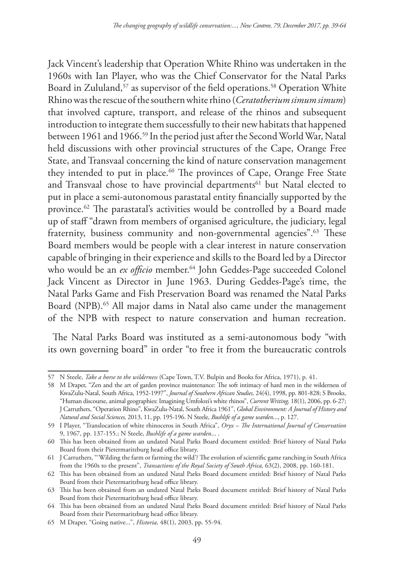Jack Vincent's leadership that Operation White Rhino was undertaken in the 1960s with Ian Player, who was the Chief Conservator for the Natal Parks Board in Zululand,<sup>57</sup> as supervisor of the field operations.<sup>58</sup> Operation White Rhino was the rescue of the southern white rhino (*Ceratotherium simum simum*) that involved capture, transport, and release of the rhinos and subsequent introduction to integrate them successfully to their new habitats that happened between 1961 and 1966.<sup>59</sup> In the period just after the Second World War, Natal held discussions with other provincial structures of the Cape, Orange Free State, and Transvaal concerning the kind of nature conservation management they intended to put in place.<sup>60</sup> The provinces of Cape, Orange Free State and Transvaal chose to have provincial departments<sup>61</sup> but Natal elected to put in place a semi-autonomous parastatal entity financially supported by the province.62 The parastatal's activities would be controlled by a Board made up of staff "drawn from members of organised agriculture, the judiciary, legal fraternity, business community and non-governmental agencies".<sup>63</sup> These Board members would be people with a clear interest in nature conservation capable of bringing in their experience and skills to the Board led by a Director who would be an *ex officio* member.<sup>64</sup> John Geddes-Page succeeded Colonel Jack Vincent as Director in June 1963. During Geddes-Page's time, the Natal Parks Game and Fish Preservation Board was renamed the Natal Parks Board (NPB).<sup>65</sup> All major dams in Natal also came under the management of the NPB with respect to nature conservation and human recreation.

The Natal Parks Board was instituted as a semi-autonomous body "with its own governing board" in order "to free it from the bureaucratic controls

<sup>57</sup> N Steele, *Take a horse to the wilderness* (Cape Town, T.V. Bulpin and Books for Africa, 1971), p. 41.

<sup>58</sup> M Draper, "Zen and the art of garden province maintenance: The soft intimacy of hard men in the wilderness of KwaZulu‐Natal, South Africa, 1952-1997", *Journal of Southern African Studies,* 24(4), 1998, pp. 801-828; S Brooks, "Human discourse, animal geographies: Imagining Umfolozi's white rhinos", *Current Writing,* 18(1), 2006, pp. 6-27; J Carruthers, "Operation Rhino", KwaZulu-Natal, South Africa 1961", *Global Environment: A Journal of History and Natural and Social Sciences,* 2013, 11, pp. 195-196. N Steele, *Bushlife of a game warden*..., p. 127.

<sup>59</sup> I Player, "Translocation of white rhinoceros in South Africa", *Oryx – The International Journal of Conservation* 9, 1967, pp. 137-155.; N Steele, *Bushlife of a game warden*... .

<sup>60</sup> This has been obtained from an undated Natal Parks Board document entitled: Brief history of Natal Parks Board from their Pietermaritzburg head office library.

<sup>61</sup> J Carruthers, "'Wilding the farm or farming the wild'? The evolution of scientific game ranching in South Africa from the 1960s to the present", *Transactions of the Royal Society of South Africa,* 63(2), 2008, pp. 160-181.

<sup>62</sup> This has been obtained from an undated Natal Parks Board document entitled: Brief history of Natal Parks Board from their Pietermaritzburg head office library.

<sup>63</sup> This has been obtained from an undated Natal Parks Board document entitled: Brief history of Natal Parks Board from their Pietermaritzburg head office library.

<sup>64</sup> This has been obtained from an undated Natal Parks Board document entitled: Brief history of Natal Parks Board from their Pietermaritzburg head office library.

<sup>65</sup> M Draper, "Going native...", *Historia,* 48(1), 2003, pp. 55-94.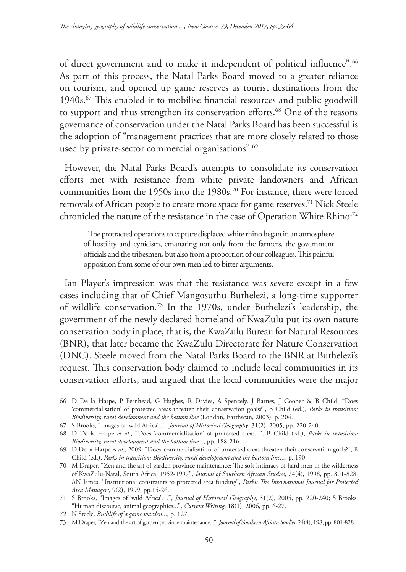of direct government and to make it independent of political influence".<sup>66</sup> As part of this process, the Natal Parks Board moved to a greater reliance on tourism, and opened up game reserves as tourist destinations from the 1940s.67 This enabled it to mobilise financial resources and public goodwill to support and thus strengthen its conservation efforts.<sup>68</sup> One of the reasons governance of conservation under the Natal Parks Board has been successful is the adoption of "management practices that are more closely related to those used by private-sector commercial organisations".<sup>69</sup>

However, the Natal Parks Board's attempts to consolidate its conservation efforts met with resistance from white private landowners and African communities from the 1950s into the 1980s.<sup>70</sup> For instance, there were forced removals of African people to create more space for game reserves.<sup>71</sup> Nick Steele chronicled the nature of the resistance in the case of Operation White Rhino:<sup>72</sup>

The protracted operations to capture displaced white rhino began in an atmosphere of hostility and cynicism, emanating not only from the farmers, the government officials and the tribesmen, but also from a proportion of our colleagues. This painful opposition from some of our own men led to bitter arguments.

Ian Player's impression was that the resistance was severe except in a few cases including that of Chief Mangosuthu Buthelezi, a long-time supporter of wildlife conservation.73 In the 1970s, under Buthelezi's leadership, the government of the newly declared homeland of KwaZulu put its own nature conservation body in place, that is, the KwaZulu Bureau for Natural Resources (BNR), that later became the KwaZulu Directorate for Nature Conservation (DNC). Steele moved from the Natal Parks Board to the BNR at Buthelezi's request. This conservation body claimed to include local communities in its conservation efforts, and argued that the local communities were the major

<sup>66</sup> D De la Harpe, P Fernhead, G Hughes, R Davies, A Spencely, J Barnes, J Cooper & B Child, "Does 'commercialisation' of protected areas threaten their conservation goals?", B Child (ed.), *Parks in transition: Biodiversity, rural development and the bottom line* (London, Earthscan, 2003), p. 204.

<sup>67</sup> S Brooks, "Images of 'wild Africa'...", *Journal of Historical Geography*, 31(2), 2005, pp. 220-240.

<sup>68</sup> D De la Harpe *et al.*, "Does 'commercialisation' of protected areas...", B Child (ed.), *Parks in transition: Biodiversity, rural development and the bottom line...*, pp. 188-216.

<sup>69</sup> D De la Harpe *et al.*, 2009. "Does 'commercialisation' of protected areas threaten their conservation goals?", B Child (ed.), *Parks in transition: Biodiversity, rural development and the bottom line...*, p. 190.

<sup>70</sup> M Draper, "Zen and the art of garden province maintenance: The soft intimacy of hard men in the wilderness of KwaZulu‐Natal, South Africa, 1952-1997", *Journal of Southern African Studies*, 24(4), 1998, pp. 801-828; AN James, "Institutional constraints to protected area funding", *Parks: The International Journal for Protected Area Managers*, 9(2), 1999, pp.15-26.

<sup>71</sup> S Brooks, "Images of 'wild Africa'…", *Journal of Historical Geography*, 31(2), 2005, pp. 220-240; S Brooks, "Human discourse, animal geographies...", *Current Writing*, 18(1), 2006, pp. 6-27.

<sup>72</sup> N Steele, *Bushlife of a game warden*..., p. 127.

<sup>73</sup> M Draper, "Zen and the art of garden province maintenance...", *Journal of Southern African Studies*, 24(4), 198, pp. 801-828.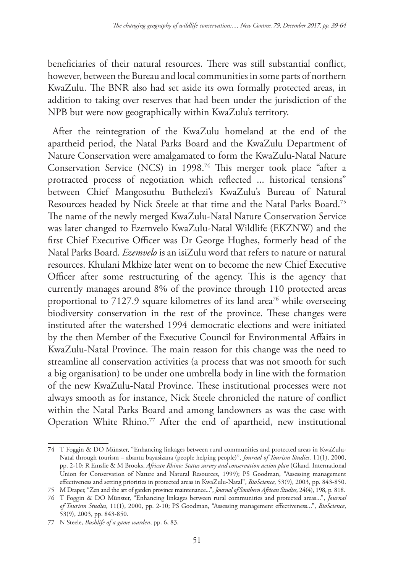beneficiaries of their natural resources. There was still substantial conflict, however, between the Bureau and local communities in some parts of northern KwaZulu. The BNR also had set aside its own formally protected areas, in addition to taking over reserves that had been under the jurisdiction of the NPB but were now geographically within KwaZulu's territory.

After the reintegration of the KwaZulu homeland at the end of the apartheid period, the Natal Parks Board and the KwaZulu Department of Nature Conservation were amalgamated to form the KwaZulu-Natal Nature Conservation Service (NCS) in 1998.74 This merger took place "after a protracted process of negotiation which reflected ... historical tensions" between Chief Mangosuthu Buthelezi's KwaZulu's Bureau of Natural Resources headed by Nick Steele at that time and the Natal Parks Board.75 The name of the newly merged KwaZulu-Natal Nature Conservation Service was later changed to Ezemvelo KwaZulu-Natal Wildlife (EKZNW) and the first Chief Executive Officer was Dr George Hughes, formerly head of the Natal Parks Board. *Ezemvelo* is an isiZulu word that refers to nature or natural resources. Khulani Mkhize later went on to become the new Chief Executive Officer after some restructuring of the agency. This is the agency that currently manages around 8% of the province through 110 protected areas proportional to 7127.9 square kilometres of its land area<sup>76</sup> while overseeing biodiversity conservation in the rest of the province. These changes were instituted after the watershed 1994 democratic elections and were initiated by the then Member of the Executive Council for Environmental Affairs in KwaZulu-Natal Province. The main reason for this change was the need to streamline all conservation activities (a process that was not smooth for such a big organisation) to be under one umbrella body in line with the formation of the new KwaZulu-Natal Province. These institutional processes were not always smooth as for instance, Nick Steele chronicled the nature of conflict within the Natal Parks Board and among landowners as was the case with Operation White Rhino.<sup>77</sup> After the end of apartheid, new institutional

<sup>74</sup> T Foggin & DO Münster, "Enhancing linkages between rural communities and protected areas in KwaZulu-Natal through tourism – abantu bayasizana (people helping people)", *Journal of Tourism Studies,* 11(1), 2000, pp. 2-10; R Emslie & M Brooks, *African Rhino: Status survey and conservation action plan* (Gland, International Union for Conservation of Nature and Natural Resources, 1999); PS Goodman, "Assessing management effectiveness and setting priorities in protected areas in KwaZulu-Natal", *BioScience*, 53(9), 2003, pp. 843-850.

<sup>75</sup> M Draper, "Zen and the art of garden province maintenance...", *Journal of Southern African Studies*, 24(4), 198, p. 818.

<sup>76</sup> T Foggin & DO Münster, "Enhancing linkages between rural communities and protected areas...", *Journal of Tourism Studies*, 11(1), 2000, pp. 2-10; PS Goodman, "Assessing management effectiveness...", *BioScience*, 53(9), 2003, pp. 843-850.

<sup>77</sup> N Steele, *Bushlife of a game warden*, pp. 6, 83.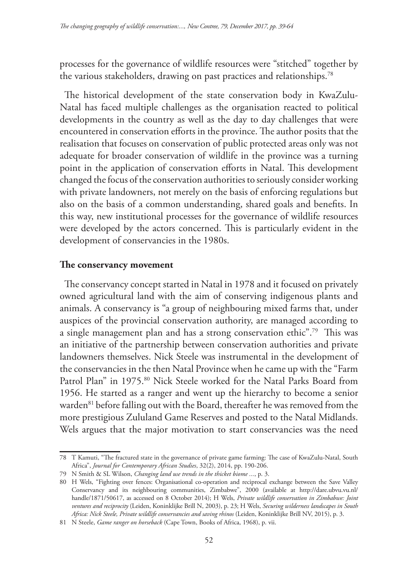processes for the governance of wildlife resources were "stitched" together by the various stakeholders, drawing on past practices and relationships.78

The historical development of the state conservation body in KwaZulu-Natal has faced multiple challenges as the organisation reacted to political developments in the country as well as the day to day challenges that were encountered in conservation efforts in the province. The author posits that the realisation that focuses on conservation of public protected areas only was not adequate for broader conservation of wildlife in the province was a turning point in the application of conservation efforts in Natal. This development changed the focus of the conservation authorities to seriously consider working with private landowners, not merely on the basis of enforcing regulations but also on the basis of a common understanding, shared goals and benefits. In this way, new institutional processes for the governance of wildlife resources were developed by the actors concerned. This is particularly evident in the development of conservancies in the 1980s.

#### **The conservancy movement**

The conservancy concept started in Natal in 1978 and it focused on privately owned agricultural land with the aim of conserving indigenous plants and animals. A conservancy is "a group of neighbouring mixed farms that, under auspices of the provincial conservation authority, are managed according to a single management plan and has a strong conservation ethic".79 This was an initiative of the partnership between conservation authorities and private landowners themselves. Nick Steele was instrumental in the development of the conservancies in the then Natal Province when he came up with the "Farm Patrol Plan" in 1975.<sup>80</sup> Nick Steele worked for the Natal Parks Board from 1956. He started as a ranger and went up the hierarchy to become a senior warden<sup>81</sup> before falling out with the Board, thereafter he was removed from the more prestigious Zululand Game Reserves and posted to the Natal Midlands. Wels argues that the major motivation to start conservancies was the need

<sup>78</sup> T Kamuti, "The fractured state in the governance of private game farming: The case of KwaZulu-Natal, South Africa", *Journal for Contemporary African Studies*, 32(2), 2014, pp. 190-206.

<sup>79</sup> N Smith & SL Wilson, *Changing land use trends in the thicket biome ...*, p. 3.

<sup>80</sup> H Wels, "Fighting over fences: Organisational co-operation and reciprocal exchange between the Save Valley Conservancy and its neighbouring communities, Zimbabwe", 2000 (available at http://dare.ubvu.vu.nl/ handle/1871/50617, as accessed on 8 October 2014); H Wels, *Private wildlife conservation in Zimbabwe: Joint ventures and reciprocity* (Leiden, Koninklijke Brill N, 2003), p. 23; H Wels, *Securing wilderness landscapes in South Africa: Nick Steele, Private wildlife conservancies and saving rhinos* (Leiden, Koninklijke Brill NV, 2015), p. 3.

<sup>81</sup> N Steele, *Game ranger on horseback* (Cape Town, Books of Africa, 1968), p. vii.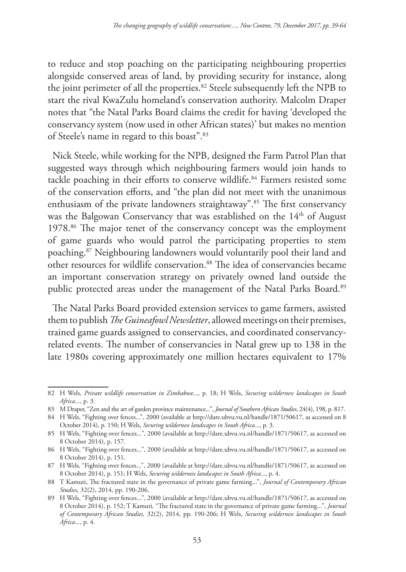to reduce and stop poaching on the participating neighbouring properties alongside conserved areas of land, by providing security for instance, along the joint perimeter of all the properties.<sup>82</sup> Steele subsequently left the NPB to start the rival KwaZulu homeland's conservation authority. Malcolm Draper notes that "the Natal Parks Board claims the credit for having 'developed the conservancy system (now used in other African states)' but makes no mention of Steele's name in regard to this boast".83

Nick Steele, while working for the NPB, designed the Farm Patrol Plan that suggested ways through which neighbouring farmers would join hands to tackle poaching in their efforts to conserve wildlife.<sup>84</sup> Farmers resisted some of the conservation efforts, and "the plan did not meet with the unanimous enthusiasm of the private landowners straightaway".85 The first conservancy was the Balgowan Conservancy that was established on the 14<sup>th</sup> of August 1978.86 The major tenet of the conservancy concept was the employment of game guards who would patrol the participating properties to stem poaching.87 Neighbouring landowners would voluntarily pool their land and other resources for wildlife conservation.<sup>88</sup> The idea of conservancies became an important conservation strategy on privately owned land outside the public protected areas under the management of the Natal Parks Board.<sup>89</sup>

The Natal Parks Board provided extension services to game farmers, assisted them to publish *The Guineafowl Newsletter*, allowed meetings on their premises, trained game guards assigned to conservancies, and coordinated conservancyrelated events. The number of conservancies in Natal grew up to 138 in the late 1980s covering approximately one million hectares equivalent to 17%

<sup>82</sup> H Wels, *Private wildlife conservation in Zimbabwe*..., p. 18; H Wels, *Securing wilderness landscapes in South Africa*..., p. 3.

<sup>83</sup> M Draper, "Zen and the art of garden province maintenance...", *Journal of Southern African Studies*, 24(4), 198, p. 817.

<sup>84</sup> H Wels, "Fighting over fences...", 2000 (available at http://dare.ubvu.vu.nl/handle/1871/50617, as accessed on 8 October 2014), p. 150; H Wels, *Securing wilderness landscapes in South Africa*..., p. 3.

<sup>85</sup> H Wels, "Fighting over fences...", 2000 (available at http://dare.ubvu.vu.nl/handle/1871/50617, as accessed on 8 October 2014), p. 157.

<sup>86</sup> H Wels, "Fighting over fences...", 2000 (available at http://dare.ubvu.vu.nl/handle/1871/50617, as accessed on 8 October 2014), p. 151.

<sup>87</sup> H Wels, "Fighting over fences...", 2000 (available at http://dare.ubvu.vu.nl/handle/1871/50617, as accessed on 8 October 2014), p. 151; H Wels, *Securing wilderness landscapes in South Africa*..., p. 4.

<sup>88</sup> T Kamuti, The fractured state in the governance of private game farming...", *Journal of Contemporary African Studies,* 32(2), 2014, pp. 190-206.

<sup>89</sup> H Wels, "Fighting over fences...", 2000 (available at http://dare.ubvu.vu.nl/handle/1871/50617, as accessed on 8 October 2014), p. 152; T Kamuti, "The fractured state in the governance of private game farming...", *Journal of Contemporary African Studies,* 32(2), 2014, pp. 190-206; H Wels, *Securing wilderness landscapes in South Africa*..., p. 4.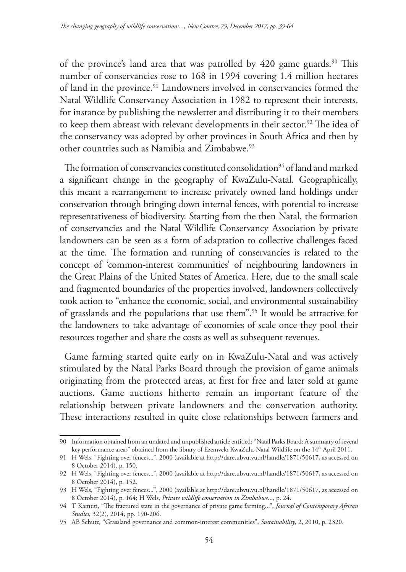of the province's land area that was patrolled by 420 game guards.<sup>90</sup> This number of conservancies rose to 168 in 1994 covering 1.4 million hectares of land in the province.<sup>91</sup> Landowners involved in conservancies formed the Natal Wildlife Conservancy Association in 1982 to represent their interests, for instance by publishing the newsletter and distributing it to their members to keep them abreast with relevant developments in their sector.<sup>92</sup> The idea of the conservancy was adopted by other provinces in South Africa and then by other countries such as Namibia and Zimbabwe.93

The formation of conservancies constituted consolidation<sup>94</sup> of land and marked a significant change in the geography of KwaZulu-Natal. Geographically, this meant a rearrangement to increase privately owned land holdings under conservation through bringing down internal fences, with potential to increase representativeness of biodiversity. Starting from the then Natal, the formation of conservancies and the Natal Wildlife Conservancy Association by private landowners can be seen as a form of adaptation to collective challenges faced at the time. The formation and running of conservancies is related to the concept of 'common-interest communities' of neighbouring landowners in the Great Plains of the United States of America. Here, due to the small scale and fragmented boundaries of the properties involved, landowners collectively took action to "enhance the economic, social, and environmental sustainability of grasslands and the populations that use them".95 It would be attractive for the landowners to take advantage of economies of scale once they pool their resources together and share the costs as well as subsequent revenues.

Game farming started quite early on in KwaZulu-Natal and was actively stimulated by the Natal Parks Board through the provision of game animals originating from the protected areas, at first for free and later sold at game auctions. Game auctions hitherto remain an important feature of the relationship between private landowners and the conservation authority. These interactions resulted in quite close relationships between farmers and

<sup>90</sup> Information obtained from an undated and unpublished article entitled; "Natal Parks Board: A summary of several key performance areas" obtained from the library of Ezemvelo KwaZulu-Natal Wildlife on the 14th April 2011.

<sup>91</sup> H Wels, "Fighting over fences...", 2000 (available at http://dare.ubvu.vu.nl/handle/1871/50617, as accessed on 8 October 2014), p. 150.

<sup>92</sup> H Wels, "Fighting over fences...", 2000 (available at http://dare.ubvu.vu.nl/handle/1871/50617, as accessed on 8 October 2014), p. 152.

<sup>93</sup> H Wels, "Fighting over fences...", 2000 (available at http://dare.ubvu.vu.nl/handle/1871/50617, as accessed on 8 October 2014), p. 164; H Wels, *Private wildlife conservation in Zimbabwe*..., p. 24.

<sup>94</sup> T Kamuti, "The fractured state in the governance of private game farming...", *Journal of Contemporary African Studies,* 32(2), 2014, pp. 190-206.

<sup>95</sup> AB Schutz, "Grassland governance and common-interest communities", *Sustainability*, 2, 2010, p. 2320.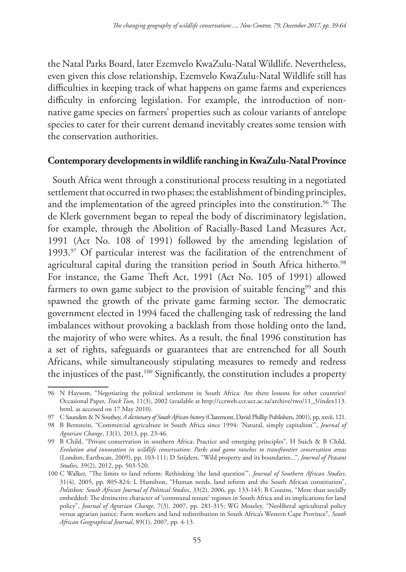the Natal Parks Board, later Ezemvelo KwaZulu-Natal Wildlife. Nevertheless, even given this close relationship, Ezemvelo KwaZulu-Natal Wildlife still has difficulties in keeping track of what happens on game farms and experiences difficulty in enforcing legislation. For example, the introduction of nonnative game species on farmers' properties such as colour variants of antelope species to cater for their current demand inevitably creates some tension with the conservation authorities.

#### **Contemporary developments in wildlife ranching in KwaZulu-Natal Province**

South Africa went through a constitutional process resulting in a negotiated settlement that occurred in two phases; the establishment of binding principles, and the implementation of the agreed principles into the constitution.<sup>96</sup> The de Klerk government began to repeal the body of discriminatory legislation, for example, through the Abolition of Racially-Based Land Measures Act, 1991 (Act No. 108 of 1991) followed by the amending legislation of 1993.<sup>97</sup> Of particular interest was the facilitation of the entrenchment of agricultural capital during the transition period in South Africa hitherto.<sup>98</sup> For instance, the Game Theft Act, 1991 (Act No. 105 of 1991) allowed farmers to own game subject to the provision of suitable fencing<sup>99</sup> and this spawned the growth of the private game farming sector. The democratic government elected in 1994 faced the challenging task of redressing the land imbalances without provoking a backlash from those holding onto the land, the majority of who were whites. As a result, the final 1996 constitution has a set of rights, safeguards or guarantees that are entrenched for all South Africans, while simultaneously stipulating measures to remedy and redress the injustices of the past.100 Significantly, the constitution includes a property

<sup>96</sup> N Haysom, "Negotiating the political settlement in South Africa: Are there lessons for other countries? Occasional Paper, *Track Two,* 11(3), 2002 (available at http://ccrweb.ccr.uct.ac.za/archive/two/11\_3/index113. html, as accessed on 17 May 2010).

<sup>97</sup> C Saunders & N Southey, *A dictionary of South African history* (Claremont, David Phillip Publishers, 2001), pp. xxvii, 121.

<sup>98</sup> B Bernstein, "Commercial agriculture in South Africa since 1994: 'Natural, simply capitalism'", *Journal of Agrarian Change*, 13(1), 2013, pp. 23-46.

<sup>99</sup> B Child, "Private conservation in southern Africa: Practice and emerging principles", H Suich & B Child, *Evolution and innovation in wildlife conservation: Parks and game ranches to transfrontier conservation areas*  (London, Earthscan, 2009), pp. 103-111; D Snijders, "Wild property and its boundaries...", *Journal of Peasant Studies,* 39(2), 2012, pp. 503-520.

<sup>100</sup> C Walker, "The limits to land reform: Rethinking 'the land question'", *Journal of Southern African Studies*, 31(4), 2005, pp. 805-824; L Hamilton, "Human needs, land reform and the South African constitution", *Politikon: South African Journal of Political Studies*, 33(2), 2006, pp. 133-145; B Cousins, "More than socially embedded: The distinctive character of 'communal tenure' regimes in South Africa and its implications for land policy", *Journal of Agrarian Change*, 7(3), 2007, pp. 281-315; WG Moseley, "Neoliberal agricultural policy versus agrarian justice: Farm workers and land redistribution in South Africa's Western Cape Province", *South African Geographical Journal*, 89(1), 2007, pp. 4-13.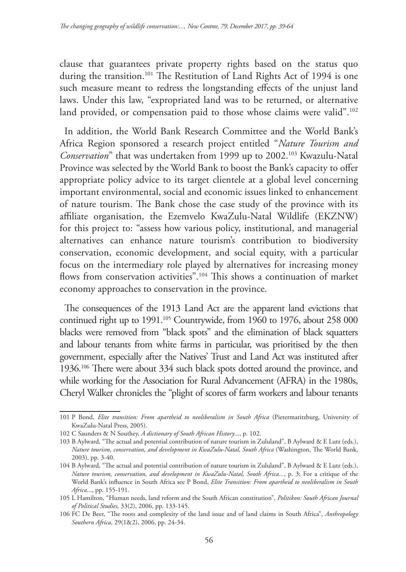clause that guarantees private property rights based on the status quo during the transition.<sup>101</sup> The Restitution of Land Rights Act of 1994 is one such measure meant to redress the longstanding effects of the unjust land laws. Under this law, "expropriated land was to be returned, or alternative land provided, or compensation paid to those whose claims were valid".<sup>102</sup>

In addition, the World Bank Research Committee and the World Bank's Africa Region sponsored a research project entitled "*Nature Tourism and Conservation*" that was undertaken from 1999 up to 2002.<sup>103</sup> Kwazulu-Natal Province was selected by the World Bank to boost the Bank's capacity to offer appropriate policy advice to its target clientele at a global level concerning important environmental, social and economic issues linked to enhancement of nature tourism. The Bank chose the case study of the province with its affiliate organisation, the Ezemvelo KwaZulu-Natal Wildlife (EKZNW) for this project to: "assess how various policy, institutional, and managerial alternatives can enhance nature tourism's contribution to biodiversity conservation, economic development, and social equity, with a particular focus on the intermediary role played by alternatives for increasing money flows from conservation activities".<sup>104</sup> This shows a continuation of market economy approaches to conservation in the province.

The consequences of the 1913 Land Act are the apparent land evictions that continued right up to 1991.<sup>105</sup> Countrywide, from 1960 to 1976, about 258 000 blacks were removed from "black spots" and the elimination of black squatters and labour tenants from white farms in particular, was prioritised by the then government, especially after the Natives' Trust and Land Act was instituted after 1936.106 There were about 334 such black spots dotted around the province, and while working for the Association for Rural Advancement (AFRA) in the 1980s, Cheryl Walker chronicles the "plight of scores of farm workers and labour tenants

<sup>101</sup> P Bond, *Elite transition: From apartheid to neoliberalism in South Africa* (Pietermaritzburg, University of KwaZulu-Natal Press, 2005).

<sup>102</sup> C Saunders & N Southey, *A dictionary of South African History*..., p. 102.

<sup>103</sup> B Aylward, "The actual and potential contribution of nature tourism in Zululand", B Aylward & E Lutz (eds.), *Nature tourism, conservation, and development in KwaZulu-Natal, South Africa* (Washington, The World Bank, 2003), pp. 3-40.

<sup>104</sup> B Aylward, "The actual and potential contribution of nature tourism in Zululand", B Aylward & E Lutz (eds.), *Nature tourism, conservation, and development in KwaZulu-Natal, South Africa...*, p. 3; For a critique of the World Bank's influence in South Africa see P Bond, *Elite Transition: From apartheid to neoliberalism in South Africa*..., pp. 155-191.

<sup>105</sup> L Hamilton, "Human needs, land reform and the South African constitution", *Politikon: South African Journal of Political Studies,* 33(2), 2006, pp. 133-145.

<sup>106</sup> FC De Beer, "The roots and complexity of the land issue and of land claims in South Africa", *Anthropology Southern Africa*, 29(1&2), 2006, pp. 24-34.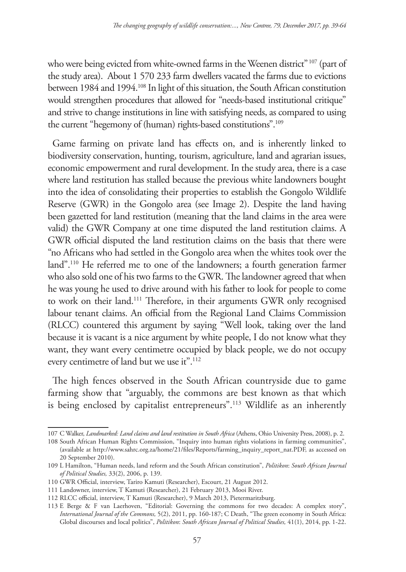who were being evicted from white-owned farms in the Weenen district" 107 (part of the study area). About 1 570 233 farm dwellers vacated the farms due to evictions between 1984 and 1994.<sup>108</sup> In light of this situation, the South African constitution would strengthen procedures that allowed for "needs-based institutional critique" and strive to change institutions in line with satisfying needs, as compared to using the current "hegemony of (human) rights-based constitutions".109

Game farming on private land has effects on, and is inherently linked to biodiversity conservation, hunting, tourism, agriculture, land and agrarian issues, economic empowerment and rural development. In the study area, there is a case where land restitution has stalled because the previous white landowners bought into the idea of consolidating their properties to establish the Gongolo Wildlife Reserve (GWR) in the Gongolo area (see Image 2). Despite the land having been gazetted for land restitution (meaning that the land claims in the area were valid) the GWR Company at one time disputed the land restitution claims. A GWR official disputed the land restitution claims on the basis that there were "no Africans who had settled in the Gongolo area when the whites took over the land".110 He referred me to one of the landowners; a fourth generation farmer who also sold one of his two farms to the GWR. The landowner agreed that when he was young he used to drive around with his father to look for people to come to work on their land.111 Therefore, in their arguments GWR only recognised labour tenant claims. An official from the Regional Land Claims Commission (RLCC) countered this argument by saying "Well look, taking over the land because it is vacant is a nice argument by white people, I do not know what they want, they want every centimetre occupied by black people, we do not occupy every centimetre of land but we use it".<sup>112</sup>

The high fences observed in the South African countryside due to game farming show that "arguably, the commons are best known as that which is being enclosed by capitalist entrepreneurs".113 Wildlife as an inherently

<sup>107</sup> C Walker, *Landmarked: Land claims and land restitution in South Africa* (Athens, Ohio University Press, 2008), p. 2.

<sup>108</sup> South African Human Rights Commission, "Inquiry into human rights violations in farming communities", (available at http://www.sahrc.org.za/home/21/files/Reports/farming\_inquiry\_report\_nat.PDF, as accessed on 20 September 2010).

<sup>109</sup> L Hamilton, "Human needs, land reform and the South African constitution", *Politikon*: *South African Journal of Political Studies,* 33(2), 2006, p. 139.

<sup>110</sup> GWR Official, interview, Tariro Kamuti (Researcher), Escourt, 21 August 2012.

<sup>111</sup> Landowner, interview, T Kamuti (Researcher), 21 February 2013, Mooi River.

<sup>112</sup> RLCC official, interview, T Kamuti (Researcher), 9 March 2013, Pietermaritzburg.

<sup>113</sup> E Berge & F van Laerhoven, "Editorial: Governing the commons for two decades: A complex story", *International Journal of the Commons,* 5(2), 2011, pp. 160-187; C Death, "The green economy in South Africa: Global discourses and local politics", *Politikon*: *South African Journal of Political Studies,* 41(1), 2014, pp. 1-22.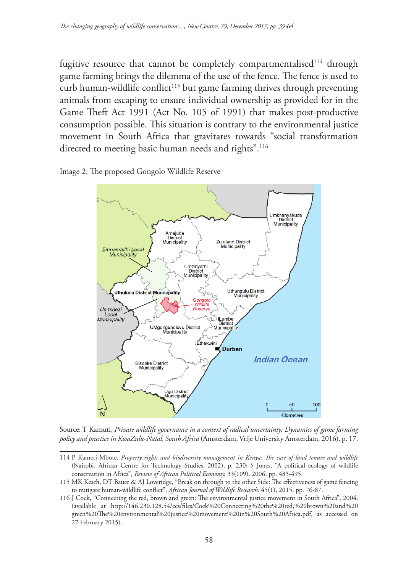fugitive resource that cannot be completely compartmentalised<sup>114</sup> through game farming brings the dilemma of the use of the fence. The fence is used to curb human-wildlife conflict<sup>115</sup> but game farming thrives through preventing animals from escaping to ensure individual ownership as provided for in the Game Theft Act 1991 (Act No. 105 of 1991) that makes post-productive consumption possible. This situation is contrary to the environmental justice movement in South Africa that gravitates towards "social transformation directed to meeting basic human needs and rights".<sup>116</sup>

Image 2: The proposed Gongolo Wildlife Reserve



Source: T Kamuti, *Private wildlife governance in a context of radical uncertainty: Dynamics of game farming policy and practice in KwaZulu-Natal, South Africa* (Amsterdam, Vrije University Amsterdam, 2016), p. 17.

<sup>114</sup> P Kameri-Mbote, *Property rights and biodiversity management in Kenya: The case of land tenure and wildlife* (Nairobi, African Centre for Technology Studies, 2002), p. 230; S Jones, "A political ecology of wildlife conservation in Africa", *Review of African Political Economy,* 33(109), 2006, pp. 483-495.

<sup>115</sup> MK Kesch, DT Bauer & AJ Loveridge, "Break on through to the other Side: The effectiveness of game fencing to mitigate human-wildlife conflict", *African Journal of Wildlife Research,* 45(1), 2015, pp. 76-87.

<sup>116</sup> J Cock, "Connecting the red, brown and green: The environmental justice movement in South Africa", 2004, (available at http://146.230.128.54/ccs/files/Cock%20Connecting%20the%20red,%20brown%20and%20 green%20The%20environmental%20justice%20movement%20in%20South%20Africa.pdf, as accessed on 27 February 2015).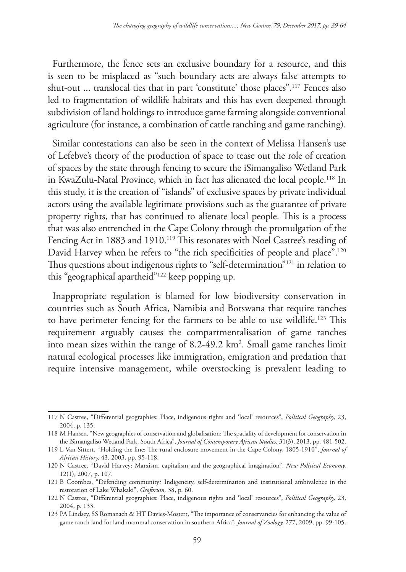Furthermore, the fence sets an exclusive boundary for a resource, and this is seen to be misplaced as "such boundary acts are always false attempts to shut-out ... translocal ties that in part 'constitute' those places".117 Fences also led to fragmentation of wildlife habitats and this has even deepened through subdivision of land holdings to introduce game farming alongside conventional agriculture (for instance, a combination of cattle ranching and game ranching).

Similar contestations can also be seen in the context of Melissa Hansen's use of Lefebve's theory of the production of space to tease out the role of creation of spaces by the state through fencing to secure the iSimangaliso Wetland Park in KwaZulu-Natal Province, which in fact has alienated the local people.118 In this study, it is the creation of "islands" of exclusive spaces by private individual actors using the available legitimate provisions such as the guarantee of private property rights, that has continued to alienate local people. This is a process that was also entrenched in the Cape Colony through the promulgation of the Fencing Act in 1883 and 1910.<sup>119</sup> This resonates with Noel Castree's reading of David Harvey when he refers to "the rich specificities of people and place".<sup>120</sup> Thus questions about indigenous rights to "self-determination"121 in relation to this "geographical apartheid"122 keep popping up.

Inappropriate regulation is blamed for low biodiversity conservation in countries such as South Africa, Namibia and Botswana that require ranches to have perimeter fencing for the farmers to be able to use wildlife.123 This requirement arguably causes the compartmentalisation of game ranches into mean sizes within the range of 8.2-49.2 km<sup>2</sup>. Small game ranches limit natural ecological processes like immigration, emigration and predation that require intensive management, while overstocking is prevalent leading to

<sup>117</sup> N Castree, "Differential geographies: Place, indigenous rights and 'local' resources", *Political Geography,* 23, 2004, p. 135.

<sup>118</sup> M Hansen, "New geographies of conservation and globalisation: The spatiality of development for conservation in the iSimangaliso Wetland Park, South Africa", *Journal of Contemporary African Studies,* 31(3), 2013, pp. 481-502.

<sup>119</sup> L Van Sittert, "Holding the line: The rural enclosure movement in the Cape Colony, 1805-1910", *Journal of African History,* 43, 2003, pp. 95-118.

<sup>120</sup> N Castree, "David Harvey: Marxism, capitalism and the geographical imagination", *New Political Economy,* 12(1), 2007, p. 107.

<sup>121</sup> B Coombes, "Defending community? Indigeneity, self-determination and institutional ambivalence in the restoration of Lake Whakaki", *Geoforum,* 38, p. 60.

<sup>122</sup> N Castree, "Differential geographies: Place, indigenous rights and 'local' resources", *Political Geography,* 23, 2004, p. 133.

<sup>123</sup> PA Lindsey, SS Romanach & HT Davies-Mostert, "The importance of conservancies for enhancing the value of game ranch land for land mammal conservation in southern Africa", *Journal of Zoology,* 277, 2009, pp. 99-105.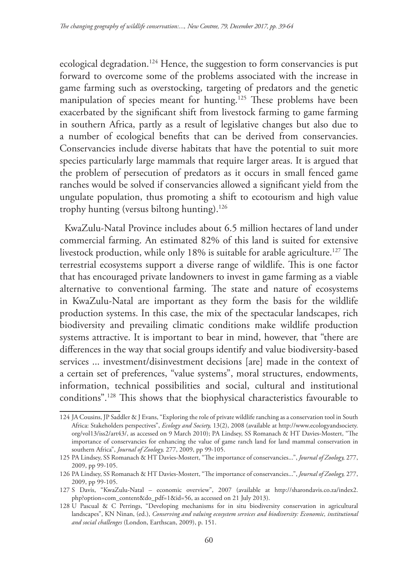ecological degradation.124 Hence, the suggestion to form conservancies is put forward to overcome some of the problems associated with the increase in game farming such as overstocking, targeting of predators and the genetic manipulation of species meant for hunting.<sup>125</sup> These problems have been exacerbated by the significant shift from livestock farming to game farming in southern Africa, partly as a result of legislative changes but also due to a number of ecological benefits that can be derived from conservancies. Conservancies include diverse habitats that have the potential to suit more species particularly large mammals that require larger areas. It is argued that the problem of persecution of predators as it occurs in small fenced game ranches would be solved if conservancies allowed a significant yield from the ungulate population, thus promoting a shift to ecotourism and high value trophy hunting (versus biltong hunting).126

KwaZulu-Natal Province includes about 6.5 million hectares of land under commercial farming. An estimated 82% of this land is suited for extensive livestock production, while only 18% is suitable for arable agriculture.127 The terrestrial ecosystems support a diverse range of wildlife. This is one factor that has encouraged private landowners to invest in game farming as a viable alternative to conventional farming. The state and nature of ecosystems in KwaZulu-Natal are important as they form the basis for the wildlife production systems. In this case, the mix of the spectacular landscapes, rich biodiversity and prevailing climatic conditions make wildlife production systems attractive. It is important to bear in mind, however, that "there are differences in the way that social groups identify and value biodiversity-based services ... investment/disinvestment decisions [are] made in the context of a certain set of preferences, "value systems", moral structures, endowments, information, technical possibilities and social, cultural and institutional conditions".128 This shows that the biophysical characteristics favourable to

<sup>124</sup> JA Cousins, JP Saddler & J Evans, "Exploring the role of private wildlife ranching as a conservation tool in South Africa: Stakeholders perspectives", *Ecology and Society,* 13(2), 2008 (available at http://www.ecologyandsociety. org/vol13/iss2/art43/, as accessed on 9 March 2010); PA Lindsey, SS Romanach & HT Davies-Mostert, "The importance of conservancies for enhancing the value of game ranch land for land mammal conservation in southern Africa", *Journal of Zoology,* 277, 2009, pp 99-105.

<sup>125</sup> PA Lindsey, SS Romanach & HT Davies-Mostert, "The importance of conservancies...", *Journal of Zoology,* 277, 2009, pp 99-105.

<sup>126</sup> PA Lindsey, SS Romanach & HT Davies-Mostert, "The importance of conservancies...", *Journal of Zoology,* 277, 2009, pp 99-105.

<sup>127</sup> S Davis, "KwaZulu-Natal – economic overview", 2007 (available at http://sharondavis.co.za/index2. php?option=com\_content&do\_pdf=1&id=56, as accessed on 21 July 2013).

<sup>128</sup> U Pascual & C Perrings, "Developing mechanisms for in situ biodiversity conservation in agricultural landscapes", KN Ninan, (ed.), *Conserving and valuing ecosystem services and biodiversity: Economic, institutional and social challenges* (London, Earthscan, 2009), p. 151.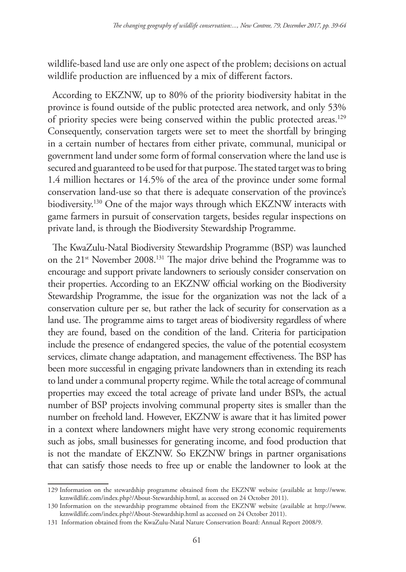wildlife-based land use are only one aspect of the problem; decisions on actual wildlife production are influenced by a mix of different factors.

According to EKZNW, up to 80% of the priority biodiversity habitat in the province is found outside of the public protected area network, and only 53% of priority species were being conserved within the public protected areas.<sup>129</sup> Consequently, conservation targets were set to meet the shortfall by bringing in a certain number of hectares from either private, communal, municipal or government land under some form of formal conservation where the land use is secured and guaranteed to be used for that purpose. The stated target was to bring 1.4 million hectares or 14.5% of the area of the province under some formal conservation land-use so that there is adequate conservation of the province's biodiversity.<sup>130</sup> One of the major ways through which EKZNW interacts with game farmers in pursuit of conservation targets, besides regular inspections on private land, is through the Biodiversity Stewardship Programme.

The KwaZulu-Natal Biodiversity Stewardship Programme (BSP) was launched on the 21st November 2008.131 The major drive behind the Programme was to encourage and support private landowners to seriously consider conservation on their properties. According to an EKZNW official working on the Biodiversity Stewardship Programme, the issue for the organization was not the lack of a conservation culture per se, but rather the lack of security for conservation as a land use. The programme aims to target areas of biodiversity regardless of where they are found, based on the condition of the land. Criteria for participation include the presence of endangered species, the value of the potential ecosystem services, climate change adaptation, and management effectiveness. The BSP has been more successful in engaging private landowners than in extending its reach to land under a communal property regime. While the total acreage of communal properties may exceed the total acreage of private land under BSPs, the actual number of BSP projects involving communal property sites is smaller than the number on freehold land. However, EKZNW is aware that it has limited power in a context where landowners might have very strong economic requirements such as jobs, small businesses for generating income, and food production that is not the mandate of EKZNW. So EKZNW brings in partner organisations that can satisfy those needs to free up or enable the landowner to look at the

<sup>129</sup> Information on the stewardship programme obtained from the EKZNW website (available at http://www. kznwildlife.com/index.php?/About-Stewardship.html, as accessed on 24 October 2011).

<sup>130</sup> Information on the stewardship programme obtained from the EKZNW website (available at http://www. kznwildlife.com/index.php?/About-Stewardship.html as accessed on 24 October 2011).

<sup>131</sup> Information obtained from the KwaZulu-Natal Nature Conservation Board: Annual Report 2008/9.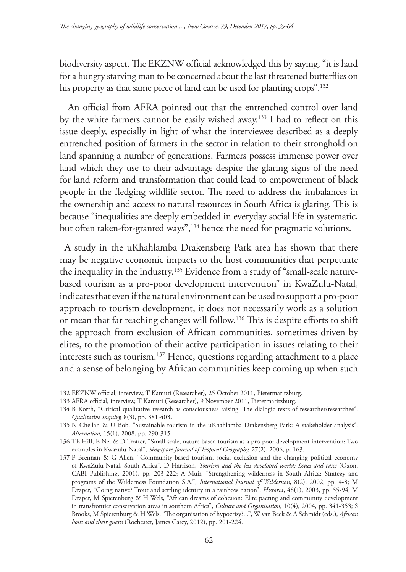biodiversity aspect. The EKZNW official acknowledged this by saying, "it is hard for a hungry starving man to be concerned about the last threatened butterflies on his property as that same piece of land can be used for planting crops".<sup>132</sup>

 An official from AFRA pointed out that the entrenched control over land by the white farmers cannot be easily wished away.133 I had to reflect on this issue deeply, especially in light of what the interviewee described as a deeply entrenched position of farmers in the sector in relation to their stronghold on land spanning a number of generations. Farmers possess immense power over land which they use to their advantage despite the glaring signs of the need for land reform and transformation that could lead to empowerment of black people in the fledging wildlife sector. The need to address the imbalances in the ownership and access to natural resources in South Africa is glaring. This is because "inequalities are deeply embedded in everyday social life in systematic, but often taken-for-granted ways",<sup>134</sup> hence the need for pragmatic solutions.

A study in the uKhahlamba Drakensberg Park area has shown that there may be negative economic impacts to the host communities that perpetuate the inequality in the industry.135 Evidence from a study of "small-scale naturebased tourism as a pro-poor development intervention" in KwaZulu-Natal, indicates that even if the natural environment can be used to support a pro-poor approach to tourism development, it does not necessarily work as a solution or mean that far reaching changes will follow.136 This is despite efforts to shift the approach from exclusion of African communities, sometimes driven by elites, to the promotion of their active participation in issues relating to their interests such as tourism.<sup>137</sup> Hence, questions regarding attachment to a place and a sense of belonging by African communities keep coming up when such

<sup>132</sup> EKZNW official, interview, T Kamuti (Researcher), 25 October 2011, Pietermaritzburg.

<sup>133</sup> AFRA official, interview, T Kamuti (Researcher), 9 November 2011, Pietermaritzburg.

<sup>134</sup> B Korth, "Critical qualitative research as consciousness raising: The dialogic texts of researcher/researchee", *Qualitative Inquiry,* 8(3), pp. 381-403**.**

<sup>135</sup> N Chellan & U Bob, "Sustainable tourism in the uKhahlamba Drakensberg Park: A stakeholder analysis", *Alternation,* 15(1), 2008, pp. 290-315.

<sup>136</sup> TE Hill, E Nel & D Trotter, "Small-scale, nature-based tourism as a pro-poor development intervention: Two examples in Kwazulu-Natal", *Singapore Journal of Tropical Geography,* 27(2), 2006, p. 163.

<sup>137</sup> F Brennan & G Allen, "Community-based tourism, social exclusion and the changing political economy of KwaZulu-Natal, South Africa", D Harrison, *Tourism and the less developed world: Issues and cases* (Oxon, CABI Publishing, 2001), pp. 203-222; A Muir, "Strengthening wilderness in South Africa: Strategy and programs of the Wilderness Foundation S.A.", *International Journal of Wilderness*, 8(2), 2002, pp. 4-8; M Draper, "Going native? Trout and settling identity in a rainbow nation", *Historia*, 48(1), 2003, pp. 55-94; M Draper, M Spierenburg & H Wels, "African dreams of cohesion: Elite pacting and community development in transfrontier conservation areas in southern Africa", *Culture and Organisation*, 10(4), 2004, pp. 341-353; S Brooks, M Spierenburg & H Wels, "The organisation of hypocrisy?...", W van Beek & A Schmidt (eds.), *African hosts and their guests* (Rochester, James Carey, 2012), pp. 201-224.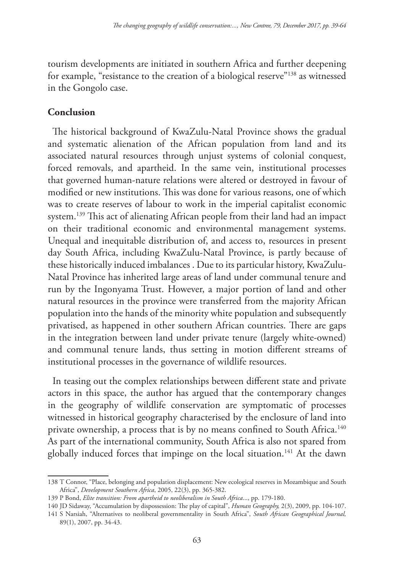tourism developments are initiated in southern Africa and further deepening for example, "resistance to the creation of a biological reserve"138 as witnessed in the Gongolo case.

### **Conclusion**

The historical background of KwaZulu-Natal Province shows the gradual and systematic alienation of the African population from land and its associated natural resources through unjust systems of colonial conquest, forced removals, and apartheid. In the same vein, institutional processes that governed human-nature relations were altered or destroyed in favour of modified or new institutions. This was done for various reasons, one of which was to create reserves of labour to work in the imperial capitalist economic system.139 This act of alienating African people from their land had an impact on their traditional economic and environmental management systems. Unequal and inequitable distribution of, and access to, resources in present day South Africa, including KwaZulu-Natal Province, is partly because of these historically induced imbalances . Due to its particular history, KwaZulu-Natal Province has inherited large areas of land under communal tenure and run by the Ingonyama Trust. However, a major portion of land and other natural resources in the province were transferred from the majority African population into the hands of the minority white population and subsequently privatised, as happened in other southern African countries. There are gaps in the integration between land under private tenure (largely white-owned) and communal tenure lands, thus setting in motion different streams of institutional processes in the governance of wildlife resources.

In teasing out the complex relationships between different state and private actors in this space, the author has argued that the contemporary changes in the geography of wildlife conservation are symptomatic of processes witnessed in historical geography characterised by the enclosure of land into private ownership, a process that is by no means confined to South Africa.<sup>140</sup> As part of the international community, South Africa is also not spared from globally induced forces that impinge on the local situation.<sup>141</sup> At the dawn

<sup>138</sup> T Connor, "Place, belonging and population displacement: New ecological reserves in Mozambique and South Africa", *Development Southern Africa*, 2005, 22(3), pp. 365-382.

<sup>139</sup> P Bond, *Elite transition: From apartheid to neoliberalism in South Africa*..., pp. 179-180.

<sup>140</sup> JD Sidaway, "Accumulation by dispossession: The play of capital", *Human Geography,* 2(3), 2009, pp. 104-107.

<sup>141</sup> S Narsiah, "Alternatives to neoliberal governmentality in South Africa", *South African Geographical Journal,* 89(1), 2007, pp. 34-43.